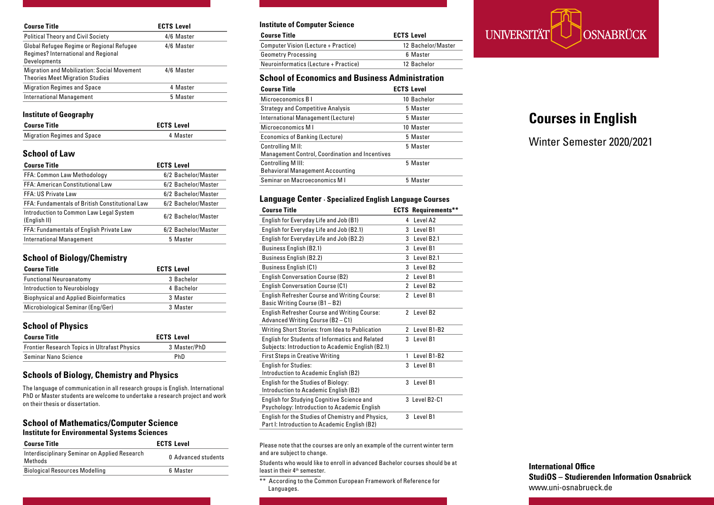| <b>Course Title</b>                                                                              | <b>ECTS Level</b> |
|--------------------------------------------------------------------------------------------------|-------------------|
| <b>Political Theory and Civil Society</b>                                                        | 4/6 Master        |
| Global Refugee Regime or Regional Refugee<br>Regimes? International and Regional<br>Developments | 4/6 Master        |
| <b>Migration and Mobilization: Social Movement</b><br><b>Theories Meet Migration Studies</b>     | 4/6 Master        |
| <b>Migration Regimes and Space</b>                                                               | 4 Master          |
| <b>International Management</b>                                                                  | 5 Master          |

#### **Institute of Geography**

| <b>Course Title</b>                | <b>ECTS Level</b> |          |
|------------------------------------|-------------------|----------|
| <b>Migration Regimes and Space</b> |                   | 4 Master |

# **School of Law**

| <b>ECTS Level</b>   |
|---------------------|
| 6/2 Bachelor/Master |
| 6/2 Bachelor/Master |
| 6/2 Bachelor/Master |
| 6/2 Bachelor/Master |
| 6/2 Bachelor/Master |
| 6/2 Bachelor/Master |
| 5 Master            |
|                     |

## **School of Biology/Chemistry**

| <b>Course Title</b>                           | <b>ECTS Level</b> |
|-----------------------------------------------|-------------------|
| <b>Functional Neuroanatomy</b>                | 3 Bachelor        |
| Introduction to Neurobiology                  | 4 Bachelor        |
| <b>Biophysical and Applied Bioinformatics</b> | 3 Master          |
| Microbiological Seminar (Eng/Ger)             | 3 Master          |

# **School of Physics**

| <b>Course Title</b>                                  | <b>ECTS Level</b> |
|------------------------------------------------------|-------------------|
| <b>Frontier Research Topics in Ultrafast Physics</b> | 3 Master/PhD      |
| Seminar Nano Science                                 | PhD               |

# **Schools of Biology, Chemistry and Physics**

The language of communication in all research groups is English. International PhD or Master students are welcome to undertake a research project and work on their thesis or dissertation.

#### **School of Mathematics/Computer Science Institute for Environmental Systems Sciences**

| <b>Course Title</b>                                      | <b>ECTS Level</b>   |
|----------------------------------------------------------|---------------------|
| Interdisciplinary Seminar on Applied Research<br>Methods | 0 Advanced students |
| <b>Biological Resources Modelling</b>                    | 6 Master            |

#### **Institute of Computer Science**

| <b>ECTS Level</b><br><b>Course Title</b> |                    |
|------------------------------------------|--------------------|
| Computer Vision (Lecture + Practice)     | 12 Bachelor/Master |
| <b>Geometry Processing</b>               | 6 Master           |
| Neuroinformatics (Lecture + Practice)    | 12 Bachelor        |

# **School of Economics and Business Administration**

| <b>Course Title</b>                                                               | <b>ECTS Level</b> |
|-----------------------------------------------------------------------------------|-------------------|
| Microeconomics B I                                                                | 10 Bachelor       |
| <b>Strategy and Competitive Analysis</b>                                          | 5 Master          |
| International Management (Lecture)                                                | 5 Master          |
| Microeconomics M I                                                                | 10 Master         |
| Economics of Banking (Lecture)                                                    | 5 Master          |
| <b>Controlling MII:</b><br><b>Management Control, Coordination and Incentives</b> | 5 Master          |
| <b>Controlling M III:</b><br><b>Behavioral Management Accounting</b>              | 5 Master          |
| Seminar on Macroeconomics M I                                                     | 5 Master          |

#### **Language Center · Specialized English Language Courses**

| <b>Course Title</b>                                                                                         |   | <b>ECTS Requirements**</b> |
|-------------------------------------------------------------------------------------------------------------|---|----------------------------|
| English for Everyday Life and Job (B1)                                                                      | 4 | Level A <sub>2</sub>       |
| English for Everyday Life and Job (B2.1)                                                                    | 3 | Level B1                   |
| English for Everyday Life and Job (B2.2)                                                                    | 3 | Level B <sub>2.1</sub>     |
| <b>Business English (B2.1)</b>                                                                              | 3 | Level B1                   |
| <b>Business English (B2.2)</b>                                                                              | 3 | Level B <sub>2.1</sub>     |
| Business English (C1)                                                                                       | 3 | Level B <sub>2</sub>       |
| <b>English Conversation Course (B2)</b>                                                                     | 2 | Level B1                   |
| <b>English Conversation Course (C1)</b>                                                                     | 2 | Level B <sub>2</sub>       |
| <b>English Refresher Course and Writing Course:</b><br>Basic Writing Course (B1 - B2)                       | 2 | Level B1                   |
| <b>English Refresher Course and Writing Course:</b><br>Advanced Writing Course (B2 - C1)                    | 2 | Level B <sub>2</sub>       |
| Writing Short Stories: from Idea to Publication                                                             | 2 | Level B1-B2                |
| <b>English for Students of Informatics and Related</b><br>Subjects: Introduction to Academic English (B2.1) | 3 | Level B1                   |
| <b>First Steps in Creative Writing</b>                                                                      | 1 | Level B1-B2                |
| <b>English for Studies:</b><br>Introduction to Academic English (B2)                                        | 3 | Level B1                   |
| English for the Studies of Biology:<br>Introduction to Academic English (B2)                                | 3 | Level B1                   |
| <b>English for Studying Cognitive Science and</b><br>Psychology: Introduction to Academic English           |   | 3 Level B2-C1              |
| English for the Studies of Chemistry and Physics,<br>Part I: Introduction to Academic English (B2)          | 3 | Level B1                   |

Please note that the courses are only an example of the current winter term and are subject to change.

Students who would like to enroll in advanced Bachelor courses should be at least in their 4<sup>th</sup> semester.

\*\* According to the Common European Framework of Reference for Languages.



# **Courses in English**

Winter Semester 2020/2021

**International Office StudiOS – Studierenden Information Osnabrück** www.uni-osnabrueck.de